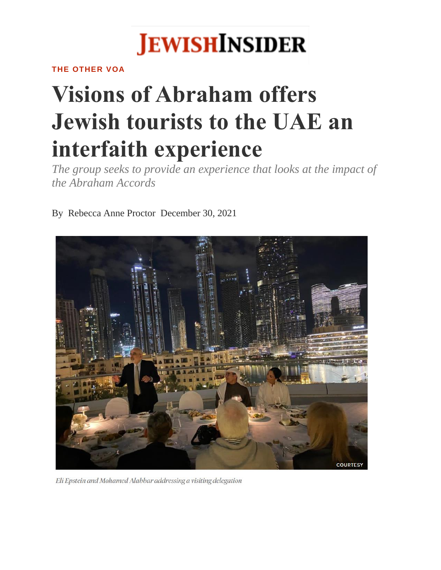

**THE OTHER VOA**

## **Visions of Abraham offers Jewish tourists to the UAE an interfaith experience**

*The group seeks to provide an experience that looks at the impact of the Abraham Accords*

By [Rebecca Anne Proctor](https://jewishinsider.com/authors/rebecca-anne-proctor/) December 30, 2021



Eli Epstein and Mohamed Alabbar addressing a visiting delegation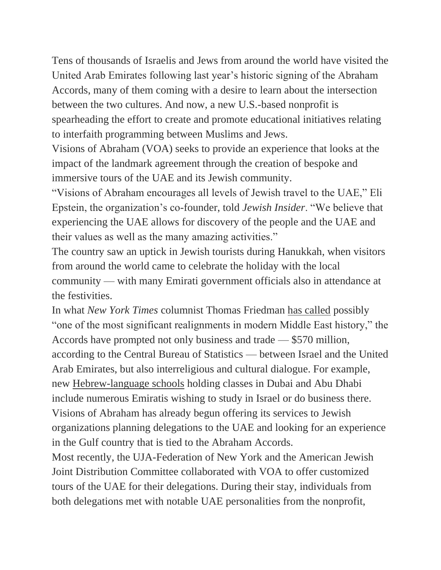Tens of thousands of Israelis and Jews from around the world have visited the United Arab Emirates following last year's historic signing of the Abraham Accords, many of them coming with a desire to learn about the intersection between the two cultures. And now, a new U.S.-based nonprofit is spearheading the effort to create and promote educational initiatives relating to interfaith programming between Muslims and Jews.

Visions of Abraham (VOA) seeks to provide an experience that looks at the impact of the landmark agreement through the creation of bespoke and immersive tours of the UAE and its Jewish community.

"Visions of Abraham encourages all levels of Jewish travel to the UAE," Eli Epstein, the organization's co-founder, told *Jewish Insider*. "We believe that experiencing the UAE allows for discovery of the people and the UAE and their values as well as the many amazing activities."

The country saw an uptick in Jewish tourists during Hanukkah, when visitors from around the world came to celebrate the holiday with the local community — with many Emirati government officials also in attendance at the festivities.

In what *New York Times* columnist Thomas Friedman [has called](https://www.nytimes.com/2021/03/02/opinion/israel-united-arab-emirates-mideast.html) possibly "one of the most significant realignments in modern Middle East history," the Accords have prompted not only business and trade — \$570 million, according to the Central Bureau of Statistics — between Israel and the United Arab Emirates, but also interreligious and cultural dialogue. For example, new [Hebrew-language schools](https://www.thenationalnews.com/uae/education/hebrew-schools-to-open-in-dubai-and-abu-dhabi-as-hundreds-sign-up-for-language-courses-1.1123680) holding classes in Dubai and Abu Dhabi include numerous Emiratis wishing to study in Israel or do business there. Visions of Abraham has already begun offering its services to Jewish organizations planning delegations to the UAE and looking for an experience in the Gulf country that is tied to the Abraham Accords.

Most recently, the UJA-Federation of New York and the American Jewish Joint Distribution Committee collaborated with VOA to offer customized tours of the UAE for their delegations. During their stay, individuals from both delegations met with notable UAE personalities from the nonprofit,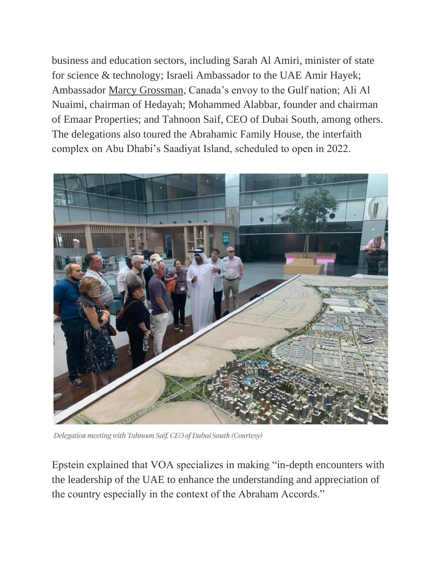business and education sectors, including Sarah Al Amiri, minister of state for science & technology; Israeli Ambassador to the UAE Amir Hayek; Ambassador [Marcy Grossman,](https://jewishinsider.com/2020/12/marcy-grossman-canada-uae/) Canada's envoy to the Gulf nation; Ali Al Nuaimi, chairman of Hedayah; Mohammed Alabbar, founder and chairman of Emaar Properties; and Tahnoon Saif, CEO of Dubai South, among others. The delegations also toured the Abrahamic Family House, the interfaith complex on Abu Dhabi's Saadiyat Island, scheduled to open in 2022.



Delegation meeting with Tahnoon Saif, CEO of Dubai South (Courtesy)

Epstein explained that VOA specializes in making "in-depth encounters with the leadership of the UAE to enhance the understanding and appreciation of the country especially in the context of the Abraham Accords."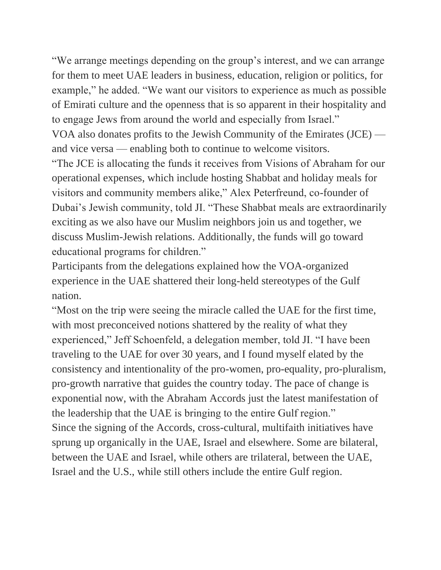"We arrange meetings depending on the group's interest, and we can arrange for them to meet UAE leaders in business, education, religion or politics, for example," he added. "We want our visitors to experience as much as possible of Emirati culture and the openness that is so apparent in their hospitality and to engage Jews from around the world and especially from Israel." VOA also donates profits to the Jewish Community of the Emirates (JCE) and vice versa — enabling both to continue to welcome visitors. "The JCE is allocating the funds it receives from Visions of Abraham for our

operational expenses, which include hosting Shabbat and holiday meals for visitors and community members alike," Alex Peterfreund, co-founder of Dubai's Jewish community, told JI. "These Shabbat meals are extraordinarily exciting as we also have our Muslim neighbors join us and together, we discuss Muslim-Jewish relations. Additionally, the funds will go toward educational programs for children."

Participants from the delegations explained how the VOA-organized experience in the UAE shattered their long-held stereotypes of the Gulf nation.

"Most on the trip were seeing the miracle called the UAE for the first time, with most preconceived notions shattered by the reality of what they experienced," Jeff Schoenfeld, a delegation member, told JI. "I have been traveling to the UAE for over 30 years, and I found myself elated by the consistency and intentionality of the pro-women, pro-equality, pro-pluralism, pro-growth narrative that guides the country today. The pace of change is exponential now, with the Abraham Accords just the latest manifestation of the leadership that the UAE is bringing to the entire Gulf region." Since the signing of the Accords, cross-cultural, multifaith initiatives have sprung up organically in the UAE, Israel and elsewhere. Some are bilateral, between the UAE and Israel, while others are trilateral, between the UAE, Israel and the U.S., while still others include the entire Gulf region.